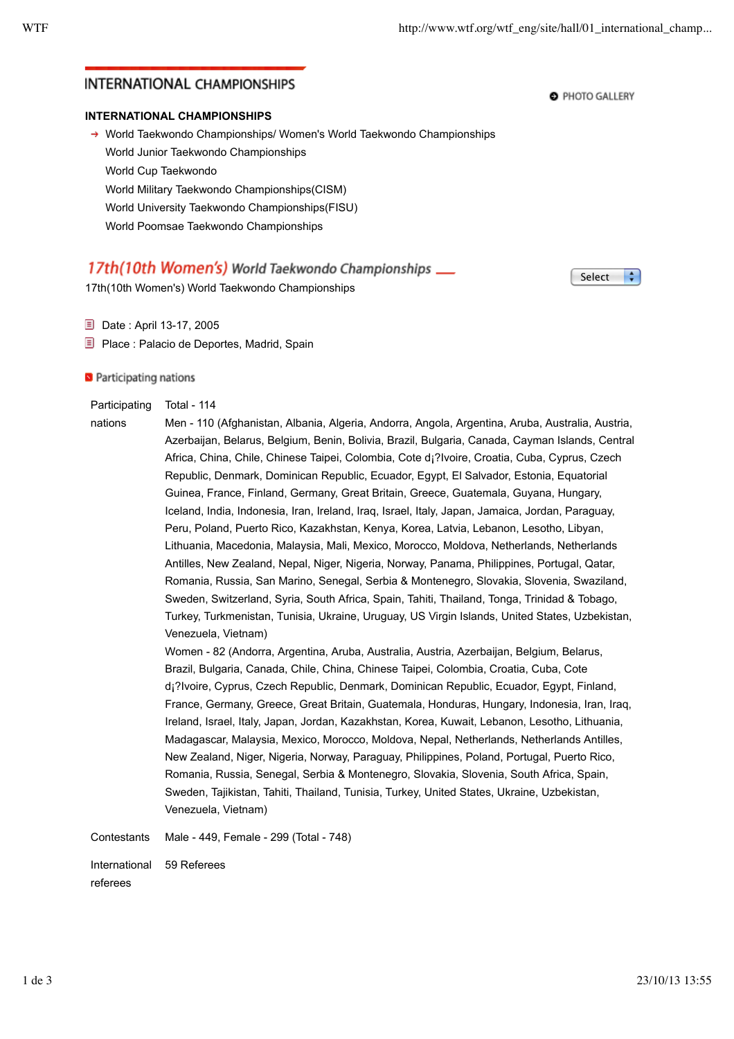## **INTERNATIONAL CHAMPIONSHIPS**

### **INTERNATIONAL CHAMPIONSHIPS**

→ World Taekwondo Championships/ Women's World Taekwondo Championships World Junior Taekwondo Championships World Cup Taekwondo World Military Taekwondo Championships(CISM) World University Taekwondo Championships(FISU) World Poomsae Taekwondo Championships

# 17th(10th Women's) World Taekwondo Championships \_\_

17th(10th Women's) World Taekwondo Championships

**E** Date : April 13-17, 2005

**E** Place : Palacio de Deportes, Madrid, Spain

**S** Participating nations

#### **Participating** Total - 114

nations Men - 110 (Afghanistan, Albania, Algeria, Andorra, Angola, Argentina, Aruba, Australia, Austria, Azerbaijan, Belarus, Belgium, Benin, Bolivia, Brazil, Bulgaria, Canada, Cayman Islands, Central Africa, China, Chile, Chinese Taipei, Colombia, Cote d¡?Ivoire, Croatia, Cuba, Cyprus, Czech Republic, Denmark, Dominican Republic, Ecuador, Egypt, El Salvador, Estonia, Equatorial Guinea, France, Finland, Germany, Great Britain, Greece, Guatemala, Guyana, Hungary, Iceland, India, Indonesia, Iran, Ireland, Iraq, Israel, Italy, Japan, Jamaica, Jordan, Paraguay, Peru, Poland, Puerto Rico, Kazakhstan, Kenya, Korea, Latvia, Lebanon, Lesotho, Libyan, Lithuania, Macedonia, Malaysia, Mali, Mexico, Morocco, Moldova, Netherlands, Netherlands Antilles, New Zealand, Nepal, Niger, Nigeria, Norway, Panama, Philippines, Portugal, Qatar, Romania, Russia, San Marino, Senegal, Serbia & Montenegro, Slovakia, Slovenia, Swaziland, Sweden, Switzerland, Syria, South Africa, Spain, Tahiti, Thailand, Tonga, Trinidad & Tobago, Turkey, Turkmenistan, Tunisia, Ukraine, Uruguay, US Virgin Islands, United States, Uzbekistan, Venezuela, Vietnam)

> Women - 82 (Andorra, Argentina, Aruba, Australia, Austria, Azerbaijan, Belgium, Belarus, Brazil, Bulgaria, Canada, Chile, China, Chinese Taipei, Colombia, Croatia, Cuba, Cote d¡?Ivoire, Cyprus, Czech Republic, Denmark, Dominican Republic, Ecuador, Egypt, Finland, France, Germany, Greece, Great Britain, Guatemala, Honduras, Hungary, Indonesia, Iran, Iraq, Ireland, Israel, Italy, Japan, Jordan, Kazakhstan, Korea, Kuwait, Lebanon, Lesotho, Lithuania, Madagascar, Malaysia, Mexico, Morocco, Moldova, Nepal, Netherlands, Netherlands Antilles, New Zealand, Niger, Nigeria, Norway, Paraguay, Philippines, Poland, Portugal, Puerto Rico, Romania, Russia, Senegal, Serbia & Montenegro, Slovakia, Slovenia, South Africa, Spain, Sweden, Tajikistan, Tahiti, Thailand, Tunisia, Turkey, United States, Ukraine, Uzbekistan, Venezuela, Vietnam)

Contestants Male - 449, Female - 299 (Total - 748)

International 59 Referees

referees

Select ÷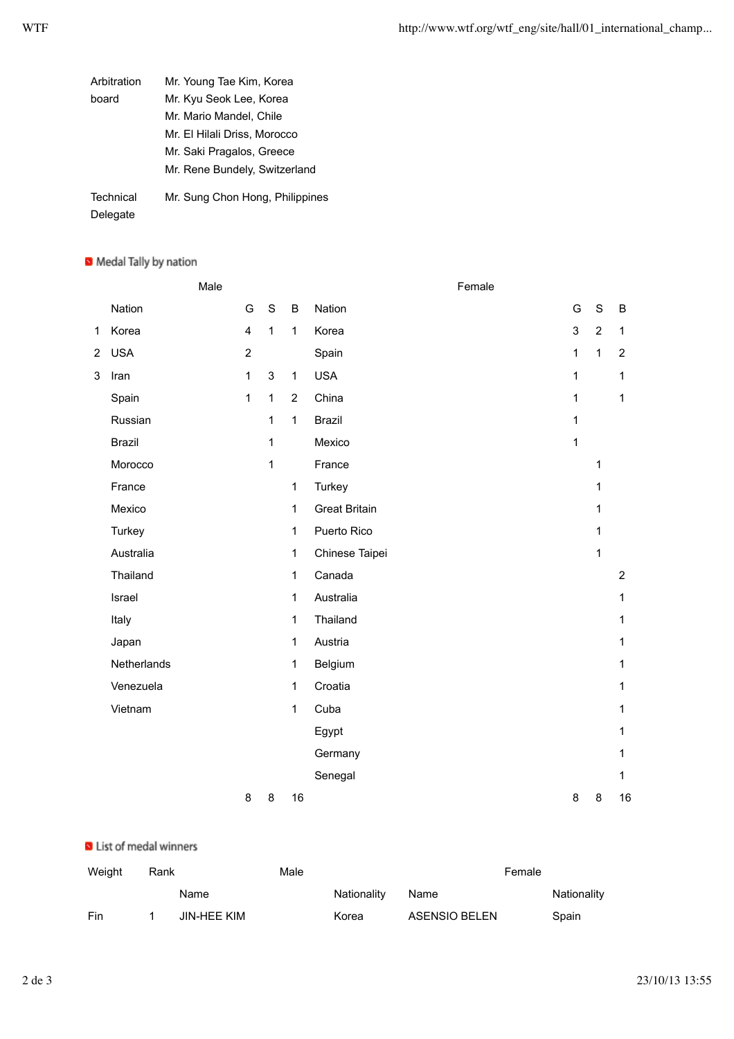| Arbitration           | Mr. Young Tae Kim, Korea        |
|-----------------------|---------------------------------|
| board                 | Mr. Kyu Seok Lee, Korea         |
|                       | Mr. Mario Mandel, Chile         |
|                       | Mr. El Hilali Driss, Morocco    |
|                       | Mr. Saki Pragalos, Greece       |
|                       | Mr. Rene Bundely, Switzerland   |
| Technical<br>Delegate | Mr. Sung Chon Hong, Philippines |

### Medal Tally by nation

|                |               | Male |                |              |                | Female               |               |                |                |
|----------------|---------------|------|----------------|--------------|----------------|----------------------|---------------|----------------|----------------|
|                | Nation        |      | G              | $\mathbf S$  | $\sf B$        | Nation               | ${\mathsf G}$ | $\mathbf S$    | B              |
| $\mathbf{1}$   | Korea         |      | $\overline{4}$ | $\mathbf{1}$ | $\mathbf{1}$   | Korea                | 3             | $\overline{2}$ | $\mathbf{1}$   |
| $\overline{2}$ | <b>USA</b>    |      | $\overline{2}$ |              |                | Spain                | $\mathbf 1$   | $\mathbf{1}$   | $\overline{2}$ |
| 3              | Iran          |      | $\mathbf{1}$   | $\mathbf{3}$ | $\mathbf{1}$   | <b>USA</b>           | 1             |                | $\mathbf{1}$   |
|                | Spain         |      | 1              | $\mathbf 1$  | $\overline{2}$ | China                | $\mathbf{1}$  |                | $\mathbf{1}$   |
|                | Russian       |      |                | 1            | $\mathbf{1}$   | <b>Brazil</b>        | 1             |                |                |
|                | <b>Brazil</b> |      |                | 1            |                | Mexico               | $\mathbf{1}$  |                |                |
|                | Morocco       |      |                | $\mathbf{1}$ |                | France               |               | 1              |                |
|                | France        |      |                |              | $\mathbf{1}$   | Turkey               |               | 1              |                |
|                | Mexico        |      |                |              | $\mathbf{1}$   | <b>Great Britain</b> |               | 1              |                |
|                | Turkey        |      |                |              | $\mathbf{1}$   | Puerto Rico          |               | 1              |                |
|                | Australia     |      |                |              | $\mathbf{1}$   | Chinese Taipei       |               | $\mathbf{1}$   |                |
|                | Thailand      |      |                |              | $\mathbf{1}$   | Canada               |               |                | $\overline{2}$ |
|                | Israel        |      |                |              | $\mathbf{1}$   | Australia            |               |                | $\mathbf{1}$   |
|                | Italy         |      |                |              | $\mathbf{1}$   | Thailand             |               |                | $\mathbf{1}$   |
|                | Japan         |      |                |              | $\mathbf{1}$   | Austria              |               |                | $\mathbf{1}$   |
|                | Netherlands   |      |                |              | $\mathbf{1}$   | Belgium              |               |                | $\mathbf{1}$   |
|                | Venezuela     |      |                |              | 1              | Croatia              |               |                | $\mathbf{1}$   |
|                | Vietnam       |      |                |              | $\mathbf{1}$   | Cuba                 |               |                | $\mathbf{1}$   |
|                |               |      |                |              |                | Egypt                |               |                | $\mathbf{1}$   |
|                |               |      |                |              |                | Germany              |               |                | $\mathbf{1}$   |
|                |               |      |                |              |                | Senegal              |               |                | $\mathbf{1}$   |
|                |               |      | 8              | 8            | 16             |                      | 8             | 8              | 16             |
|                |               |      |                |              |                |                      |               |                |                |

### ID List of medal winners

| Weight | Rank |             | Male | Female      |               |  |             |
|--------|------|-------------|------|-------------|---------------|--|-------------|
|        |      | Name        |      | Nationality | Name          |  | Nationality |
| Fin    |      | JIN-HEE KIM |      | Korea       | ASENSIO BELEN |  | Spain       |